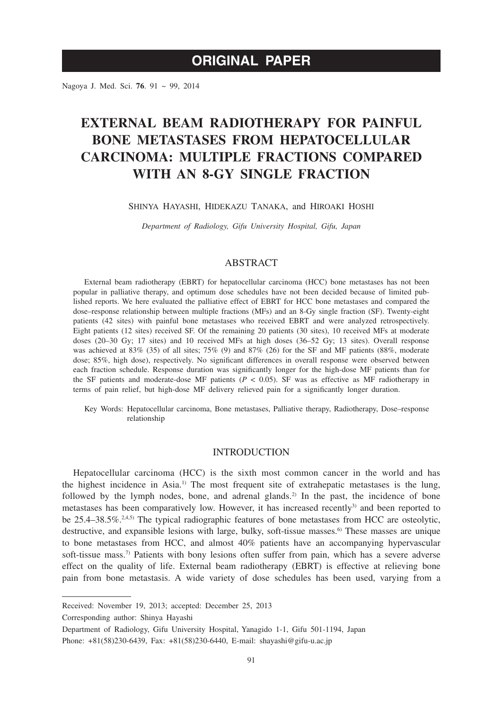# **ORIGINAL PAPER**

Nagoya J. Med. Sci. **76**. 91 ~ 99, 2014

# **EXTERNAL BEAM RADIOTHERAPY FOR PAINFUL BONE METASTASES FROM HEPATOCELLULAR CARCINOMA: MULTIPLE FRACTIONS COMPARED WITH AN 8-GY SINGLE FRACTION**

## SHINYA HAYASHI, HIDEKAZU TANAKA, and HIROAKI HOSHI

*Department of Radiology, Gifu University Hospital, Gifu, Japan*

# **ABSTRACT**

External beam radiotherapy (EBRT) for hepatocellular carcinoma (HCC) bone metastases has not been popular in palliative therapy, and optimum dose schedules have not been decided because of limited published reports. We here evaluated the palliative effect of EBRT for HCC bone metastases and compared the dose–response relationship between multiple fractions (MFs) and an 8-Gy single fraction (SF). Twenty-eight patients (42 sites) with painful bone metastases who received EBRT and were analyzed retrospectively. Eight patients (12 sites) received SF. Of the remaining 20 patients (30 sites), 10 received MFs at moderate doses (20–30 Gy; 17 sites) and 10 received MFs at high doses (36–52 Gy; 13 sites). Overall response was achieved at 83% (35) of all sites; 75% (9) and 87% (26) for the SF and MF patients (88%, moderate dose; 85%, high dose), respectively. No significant differences in overall response were observed between each fraction schedule. Response duration was significantly longer for the high-dose MF patients than for the SF patients and moderate-dose MF patients  $(P < 0.05)$ . SF was as effective as MF radiotherapy in terms of pain relief, but high-dose MF delivery relieved pain for a significantly longer duration.

Key Words: Hepatocellular carcinoma, Bone metastases, Palliative therapy, Radiotherapy, Dose–response relationship

## **INTRODUCTION**

Hepatocellular carcinoma (HCC) is the sixth most common cancer in the world and has the highest incidence in Asia.1) The most frequent site of extrahepatic metastases is the lung, followed by the lymph nodes, bone, and adrenal glands.<sup>2)</sup> In the past, the incidence of bone metastases has been comparatively low. However, it has increased recently<sup>3</sup> and been reported to be 25.4–38.5%.<sup>2,4,5)</sup> The typical radiographic features of bone metastases from HCC are osteolytic, destructive, and expansible lesions with large, bulky, soft-tissue masses.<sup>6)</sup> These masses are unique to bone metastases from HCC, and almost 40% patients have an accompanying hypervascular soft-tissue mass.7) Patients with bony lesions often suffer from pain, which has a severe adverse effect on the quality of life. External beam radiotherapy (EBRT) is effective at relieving bone pain from bone metastasis. A wide variety of dose schedules has been used, varying from a

Received: November 19, 2013; accepted: December 25, 2013

Corresponding author: Shinya Hayashi

Department of Radiology, Gifu University Hospital, Yanagido 1-1, Gifu 501-1194, Japan

Phone: +81(58)230-6439, Fax: +81(58)230-6440, E-mail: shayashi@gifu-u.ac.jp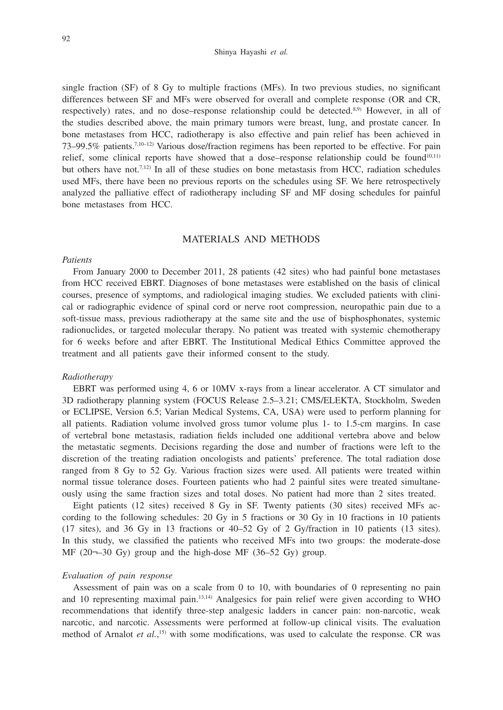### Shinya Hayashi *et al.*

single fraction (SF) of 8 Gy to multiple fractions (MFs). In two previous studies, no significant differences between SF and MFs were observed for overall and complete response (OR and CR, respectively) rates, and no dose–response relationship could be detected.<sup>8,9)</sup> However, in all of the studies described above, the main primary tumors were breast, lung, and prostate cancer. In bone metastases from HCC, radiotherapy is also effective and pain relief has been achieved in 73–99.5% patients.7,10–12) Various dose/fraction regimens has been reported to be effective. For pain relief, some clinical reports have showed that a dose–response relationship could be found<sup>10,11)</sup> but others have not.7,12) In all of these studies on bone metastasis from HCC, radiation schedules used MFs, there have been no previous reports on the schedules using SF. We here retrospectively analyzed the palliative effect of radiotherapy including SF and MF dosing schedules for painful bone metastases from HCC.

## MATERIALS AND METHODS

#### *Patients*

From January 2000 to December 2011, 28 patients (42 sites) who had painful bone metastases from HCC received EBRT. Diagnoses of bone metastases were established on the basis of clinical courses, presence of symptoms, and radiological imaging studies. We excluded patients with clinical or radiographic evidence of spinal cord or nerve root compression, neuropathic pain due to a soft-tissue mass, previous radiotherapy at the same site and the use of bisphosphonates, systemic radionuclides, or targeted molecular therapy. No patient was treated with systemic chemotherapy for 6 weeks before and after EBRT. The Institutional Medical Ethics Committee approved the treatment and all patients gave their informed consent to the study.

#### *Radiotherapy*

EBRT was performed using 4, 6 or 10MV x-rays from a linear accelerator. A CT simulator and 3D radiotherapy planning system (FOCUS Release 2.5–3.21; CMS/ELEKTA, Stockholm, Sweden or ECLIPSE, Version 6.5; Varian Medical Systems, CA, USA) were used to perform planning for all patients. Radiation volume involved gross tumor volume plus 1- to 1.5-cm margins. In case of vertebral bone metastasis, radiation fields included one additional vertebra above and below the metastatic segments. Decisions regarding the dose and number of fractions were left to the discretion of the treating radiation oncologists and patients' preference. The total radiation dose ranged from 8 Gy to 52 Gy. Various fraction sizes were used. All patients were treated within normal tissue tolerance doses. Fourteen patients who had 2 painful sites were treated simultaneously using the same fraction sizes and total doses. No patient had more than 2 sites treated.

Eight patients (12 sites) received 8 Gy in SF. Twenty patients (30 sites) received MFs according to the following schedules: 20 Gy in 5 fractions or 30 Gy in 10 fractions in 10 patients (17 sites), and 36 Gy in 13 fractions or 40–52 Gy of 2 Gy/fraction in 10 patients (13 sites). In this study, we classified the patients who received MFs into two groups: the moderate-dose MF (20¬–30 Gy) group and the high-dose MF (36–52 Gy) group.

## *Evaluation of pain response*

Assessment of pain was on a scale from 0 to 10, with boundaries of 0 representing no pain and 10 representing maximal pain.13,14) Analgesics for pain relief were given according to WHO recommendations that identify three-step analgesic ladders in cancer pain: non-narcotic, weak narcotic, and narcotic. Assessments were performed at follow-up clinical visits. The evaluation method of Arnalot *et al.*,<sup>15)</sup> with some modifications, was used to calculate the response. CR was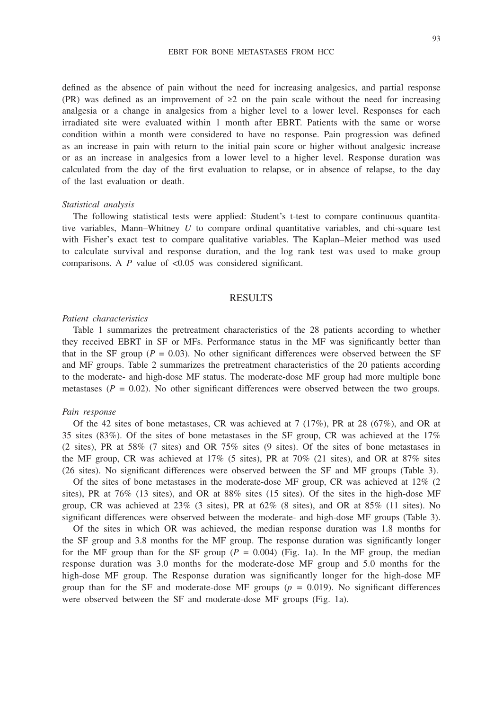#### EBRT FOR BONE METASTASES FROM HCC

defined as the absence of pain without the need for increasing analgesics, and partial response (PR) was defined as an improvement of  $\geq 2$  on the pain scale without the need for increasing analgesia or a change in analgesics from a higher level to a lower level. Responses for each irradiated site were evaluated within 1 month after EBRT. Patients with the same or worse condition within a month were considered to have no response. Pain progression was defined as an increase in pain with return to the initial pain score or higher without analgesic increase or as an increase in analgesics from a lower level to a higher level. Response duration was calculated from the day of the first evaluation to relapse, or in absence of relapse, to the day of the last evaluation or death.

## *Statistical analysis*

The following statistical tests were applied: Student's t-test to compare continuous quantitative variables, Mann–Whitney *U* to compare ordinal quantitative variables, and chi-square test with Fisher's exact test to compare qualitative variables. The Kaplan–Meier method was used to calculate survival and response duration, and the log rank test was used to make group comparisons. A *P* value of <0.05 was considered significant.

## RESULTS

### *Patient characteristics*

Table 1 summarizes the pretreatment characteristics of the 28 patients according to whether they received EBRT in SF or MFs. Performance status in the MF was significantly better than that in the SF group ( $P = 0.03$ ). No other significant differences were observed between the SF and MF groups. Table 2 summarizes the pretreatment characteristics of the 20 patients according to the moderate- and high-dose MF status. The moderate-dose MF group had more multiple bone metastases ( $P = 0.02$ ). No other significant differences were observed between the two groups.

#### *Pain response*

Of the 42 sites of bone metastases, CR was achieved at  $7(17\%)$ , PR at 28 (67%), and OR at 35 sites (83%). Of the sites of bone metastases in the SF group, CR was achieved at the 17% (2 sites), PR at 58% (7 sites) and OR 75% sites (9 sites). Of the sites of bone metastases in the MF group, CR was achieved at 17% (5 sites), PR at 70% (21 sites), and OR at 87% sites (26 sites). No significant differences were observed between the SF and MF groups (Table 3).

Of the sites of bone metastases in the moderate-dose MF group, CR was achieved at 12% (2 sites), PR at 76% (13 sites), and OR at 88% sites (15 sites). Of the sites in the high-dose MF group, CR was achieved at 23% (3 sites), PR at 62% (8 sites), and OR at 85% (11 sites). No significant differences were observed between the moderate- and high-dose MF groups (Table 3).

Of the sites in which OR was achieved, the median response duration was 1.8 months for the SF group and 3.8 months for the MF group. The response duration was significantly longer for the MF group than for the SF group  $(P = 0.004)$  (Fig. 1a). In the MF group, the median response duration was 3.0 months for the moderate-dose MF group and 5.0 months for the high-dose MF group. The Response duration was significantly longer for the high-dose MF group than for the SF and moderate-dose MF groups  $(p = 0.019)$ . No significant differences were observed between the SF and moderate-dose MF groups (Fig. 1a).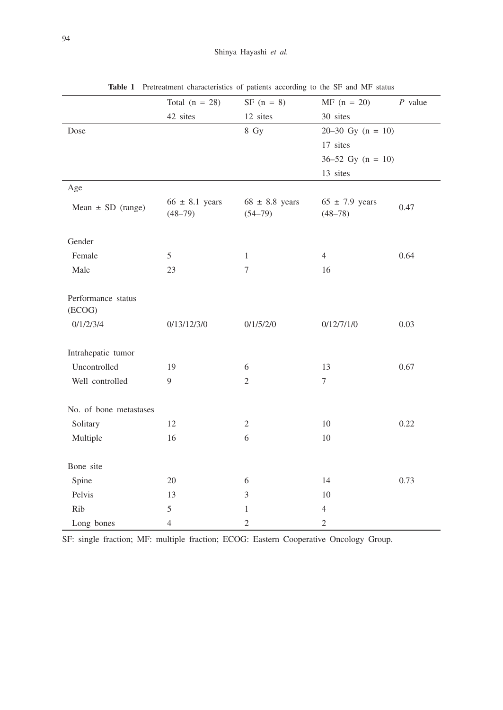|                              | Total $(n = 28)$                  | $SF (n = 8)$                      | $MF (n = 20)$                     | $P$ value |
|------------------------------|-----------------------------------|-----------------------------------|-----------------------------------|-----------|
|                              | 42 sites                          | 12 sites                          | 30 sites                          |           |
| Dose                         |                                   | 8 Gy                              | $20-30$ Gy $(n = 10)$             |           |
|                              |                                   |                                   | 17 sites                          |           |
|                              |                                   |                                   | $36-52$ Gy $(n = 10)$             |           |
|                              |                                   |                                   | 13 sites                          |           |
| Age                          |                                   |                                   |                                   |           |
| Mean $\pm$ SD (range)        | $66 \pm 8.1$ years<br>$(48 - 79)$ | $68 \pm 8.8$ years<br>$(54 - 79)$ | $65 \pm 7.9$ years<br>$(48 - 78)$ | 0.47      |
| Gender                       |                                   |                                   |                                   |           |
| Female                       | 5                                 | $\mathbf{1}$                      | $\overline{4}$                    | 0.64      |
| Male                         | 23                                | $\overline{7}$                    | 16                                |           |
|                              |                                   |                                   |                                   |           |
| Performance status<br>(ECOG) |                                   |                                   |                                   |           |
| 0/1/2/3/4                    | 0/13/12/3/0                       | 0/1/5/2/0                         | 0/12/7/1/0                        | 0.03      |
|                              |                                   |                                   |                                   |           |
| Intrahepatic tumor           |                                   |                                   |                                   |           |
| Uncontrolled                 | 19                                | 6                                 | 13                                | 0.67      |
| Well controlled              | 9                                 | $\overline{2}$                    | $\overline{7}$                    |           |
|                              |                                   |                                   |                                   |           |
| No. of bone metastases       |                                   |                                   |                                   |           |
| Solitary                     | 12                                | $\overline{2}$                    | 10                                | 0.22      |
| Multiple                     | 16                                | 6                                 | 10                                |           |
|                              |                                   |                                   |                                   |           |
| Bone site                    |                                   |                                   |                                   |           |
| Spine                        | 20                                | 6                                 | 14                                | 0.73      |
| Pelvis                       | 13                                | $\mathfrak{Z}$                    | 10                                |           |
| Rib                          | 5                                 | 1                                 | $\overline{4}$                    |           |
| Long bones                   | $\overline{4}$                    | $\mathfrak{2}$                    | $\mathfrak{2}$                    |           |

**Table 1** Pretreatment characteristics of patients according to the SF and MF status

SF: single fraction; MF: multiple fraction; ECOG: Eastern Cooperative Oncology Group.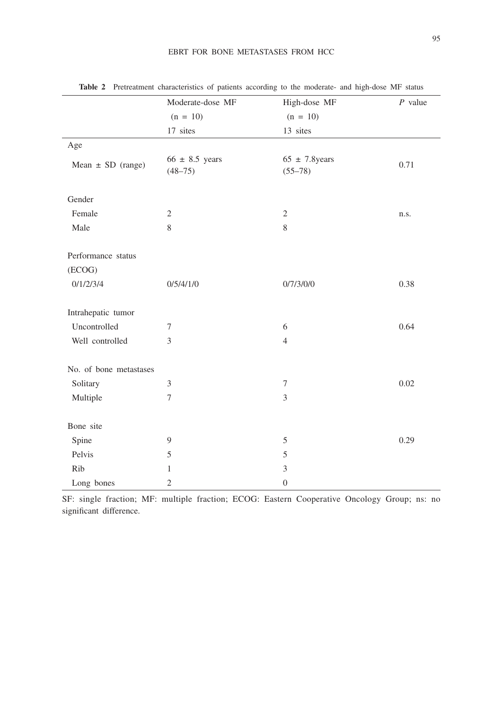## EBRT FOR BONE METASTASES FROM HCC

|                        | Moderate-dose MF                  | High-dose MF                      | $P$ value |
|------------------------|-----------------------------------|-----------------------------------|-----------|
|                        | $(n = 10)$                        | $(n = 10)$                        |           |
|                        | 17 sites                          | 13 sites                          |           |
| Age                    |                                   |                                   |           |
| Mean $\pm$ SD (range)  | $66 \pm 8.5$ years<br>$(48 - 75)$ | $65 \pm 7.8$ years<br>$(55 - 78)$ | 0.71      |
| Gender                 |                                   |                                   |           |
| Female                 | $\overline{2}$                    | $\overline{c}$                    | n.s.      |
| Male                   | 8                                 | $\,$ 8 $\,$                       |           |
| Performance status     |                                   |                                   |           |
| (ECOG)                 |                                   |                                   |           |
| 0/1/2/3/4              | 0/5/4/1/0                         | 0/7/3/0/0                         | 0.38      |
| Intrahepatic tumor     |                                   |                                   |           |
| Uncontrolled           | 7                                 | 6                                 | 0.64      |
| Well controlled        | 3                                 | $\overline{4}$                    |           |
| No. of bone metastases |                                   |                                   |           |
| Solitary               | 3                                 | 7                                 | 0.02      |
| Multiple               | $\tau$                            | 3                                 |           |
| Bone site              |                                   |                                   |           |
| Spine                  | $\overline{9}$                    | 5                                 | 0.29      |
| Pelvis                 | 5                                 | 5                                 |           |
| Rib                    | $\mathbf{1}$                      | 3                                 |           |
| Long bones             | $\sqrt{2}$                        | $\boldsymbol{0}$                  |           |

**Table 2** Pretreatment characteristics of patients according to the moderate- and high-dose MF status

SF: single fraction; MF: multiple fraction; ECOG: Eastern Cooperative Oncology Group; ns: no significant difference.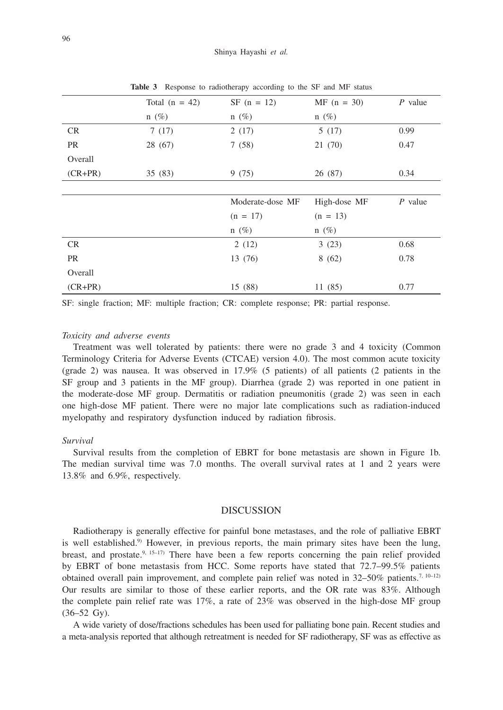|           | Total $(n = 42)$ | $SF (n = 12)$    | $MF (n = 30)$ | $P$ value |
|-----------|------------------|------------------|---------------|-----------|
|           | $n(\%)$          | $n(\%)$          | $n(\%)$       |           |
| <b>CR</b> | 7(17)            | 2(17)            | 5(17)         | 0.99      |
| PR        | 28 (67)          | 7(58)            | 21 (70)       | 0.47      |
| Overall   |                  |                  |               |           |
| $(CR+PR)$ | 35(83)           | 9(75)            | 26 (87)       | 0.34      |
|           |                  |                  |               |           |
|           |                  | Moderate-dose MF | High-dose MF  | $P$ value |
|           |                  | $(n = 17)$       | $(n = 13)$    |           |
|           |                  | $n(\%)$          | $n(\%)$       |           |
| CR        |                  | 2(12)            | 3(23)         | 0.68      |
| PR        |                  | 13 (76)          | 8(62)         | 0.78      |
| Overall   |                  |                  |               |           |
| $(CR+PR)$ |                  | 15 (88)          | 11(85)        | 0.77      |
|           |                  |                  |               |           |

**Table 3** Response to radiotherapy according to the SF and MF status

SF: single fraction; MF: multiple fraction; CR: complete response; PR: partial response.

### *Toxicity and adverse events*

Treatment was well tolerated by patients: there were no grade 3 and 4 toxicity (Common Terminology Criteria for Adverse Events (CTCAE) version 4.0). The most common acute toxicity (grade 2) was nausea. It was observed in 17.9% (5 patients) of all patients (2 patients in the SF group and 3 patients in the MF group). Diarrhea (grade 2) was reported in one patient in the moderate-dose MF group. Dermatitis or radiation pneumonitis (grade 2) was seen in each one high-dose MF patient. There were no major late complications such as radiation-induced myelopathy and respiratory dysfunction induced by radiation fibrosis.

## *Survival*

Survival results from the completion of EBRT for bone metastasis are shown in Figure 1b. The median survival time was 7.0 months. The overall survival rates at 1 and 2 years were 13.8% and 6.9%, respectively.

### DISCUSSION

Radiotherapy is generally effective for painful bone metastases, and the role of palliative EBRT is well established.<sup>9)</sup> However, in previous reports, the main primary sites have been the lung, breast, and prostate.<sup>9, 15–17)</sup> There have been a few reports concerning the pain relief provided by EBRT of bone metastasis from HCC. Some reports have stated that 72.7–99.5% patients obtained overall pain improvement, and complete pain relief was noted in  $32-50\%$  patients.<sup>7, 10–12)</sup> Our results are similar to those of these earlier reports, and the OR rate was 83%. Although the complete pain relief rate was 17%, a rate of 23% was observed in the high-dose MF group (36–52 Gy).

A wide variety of dose/fractions schedules has been used for palliating bone pain. Recent studies and a meta-analysis reported that although retreatment is needed for SF radiotherapy, SF was as effective as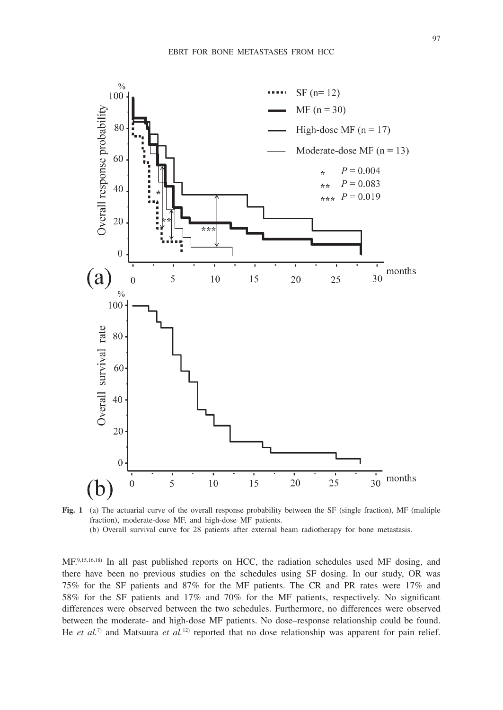

**Fig. 1** (a) The actuarial curve of the overall response probability between the SF (single fraction), MF (multiple fraction), moderate-dose MF, and high-dose MF patients. (b) Overall survival curve for 28 patients after external beam radiotherapy for bone metastasis.

MF.<sup>9,15,16,18)</sup> In all past published reports on HCC, the radiation schedules used MF dosing, and there have been no previous studies on the schedules using SF dosing. In our study, OR was 75% for the SF patients and 87% for the MF patients. The CR and PR rates were 17% and 58% for the SF patients and 17% and 70% for the MF patients, respectively. No significant differences were observed between the two schedules. Furthermore, no differences were observed between the moderate- and high-dose MF patients. No dose–response relationship could be found. He *et al.*<sup>7)</sup> and Matsuura *et al.*<sup>12)</sup> reported that no dose relationship was apparent for pain relief.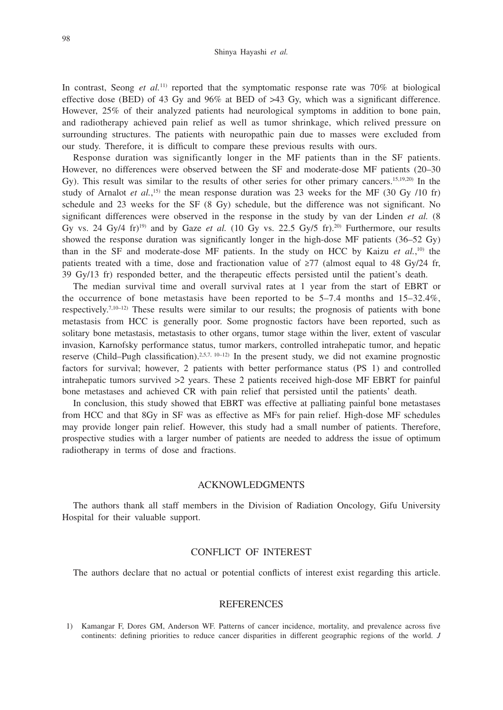In contrast, Seong *et al.*<sup>11)</sup> reported that the symptomatic response rate was 70% at biological effective dose (BED) of 43 Gy and  $96\%$  at BED of  $>43$  Gy, which was a significant difference. However, 25% of their analyzed patients had neurological symptoms in addition to bone pain, and radiotherapy achieved pain relief as well as tumor shrinkage, which relived pressure on surrounding structures. The patients with neuropathic pain due to masses were excluded from our study. Therefore, it is difficult to compare these previous results with ours.

Response duration was significantly longer in the MF patients than in the SF patients. However, no differences were observed between the SF and moderate-dose MF patients (20–30 Gy). This result was similar to the results of other series for other primary cancers.<sup>15,19,20</sup> In the study of Arnalot *et al.*,<sup>15)</sup> the mean response duration was 23 weeks for the MF (30 Gy /10 fr) schedule and 23 weeks for the SF (8 Gy) schedule, but the difference was not significant. No significant differences were observed in the response in the study by van der Linden *et al.* (8 Gy vs. 24 Gy/4 fr)<sup>19)</sup> and by Gaze *et al.* (10 Gy vs. 22.5 Gy/5 fr).<sup>20)</sup> Furthermore, our results showed the response duration was significantly longer in the high-dose MF patients (36–52 Gy) than in the SF and moderate-dose MF patients. In the study on HCC by Kaizu *et al.*,<sup>10</sup> the patients treated with a time, dose and fractionation value of  $\geq$ 77 (almost equal to 48 Gy/24 fr, 39 Gy/13 fr) responded better, and the therapeutic effects persisted until the patient's death.

The median survival time and overall survival rates at 1 year from the start of EBRT or the occurrence of bone metastasis have been reported to be  $5-7.4$  months and  $15-32.4\%$ , respectively.7,10–12) These results were similar to our results; the prognosis of patients with bone metastasis from HCC is generally poor. Some prognostic factors have been reported, such as solitary bone metastasis, metastasis to other organs, tumor stage within the liver, extent of vascular invasion, Karnofsky performance status, tumor markers, controlled intrahepatic tumor, and hepatic reserve (Child–Pugh classification).2,5,7, 10–12) In the present study, we did not examine prognostic factors for survival; however, 2 patients with better performance status (PS 1) and controlled intrahepatic tumors survived  $>2$  years. These 2 patients received high-dose MF EBRT for painful bone metastases and achieved CR with pain relief that persisted until the patients' death.

In conclusion, this study showed that EBRT was effective at palliating painful bone metastases from HCC and that 8Gy in SF was as effective as MFs for pain relief. High-dose MF schedules may provide longer pain relief. However, this study had a small number of patients. Therefore, prospective studies with a larger number of patients are needed to address the issue of optimum radiotherapy in terms of dose and fractions.

## ACKNOWLEDGMENTS

The authors thank all staff members in the Division of Radiation Oncology, Gifu University Hospital for their valuable support.

### CONFLICT OF INTEREST

The authors declare that no actual or potential conflicts of interest exist regarding this article.

#### REFERENCES

1) Kamangar F, Dores GM, Anderson WF. Patterns of cancer incidence, mortality, and prevalence across five continents: defining priorities to reduce cancer disparities in different geographic regions of the world. *J*